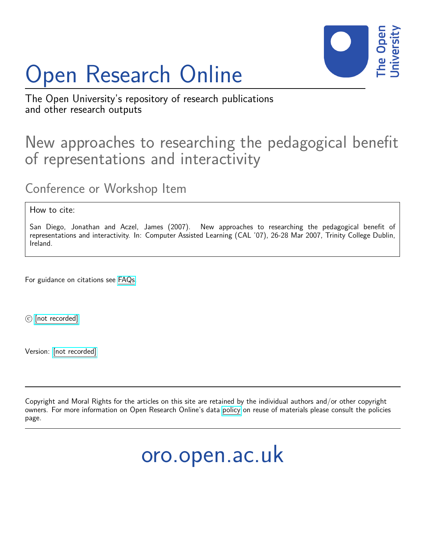# Open Research Online



The Open University's repository of research publications and other research outputs

### New approaches to researching the pedagogical benefit of representations and interactivity

Conference or Workshop Item

How to cite:

San Diego, Jonathan and Aczel, James (2007). New approaches to researching the pedagogical benefit of representations and interactivity. In: Computer Assisted Learning (CAL '07), 26-28 Mar 2007, Trinity College Dublin, Ireland.

For guidance on citations see [FAQs.](http://oro.open.ac.uk/help/helpfaq.html)

c [\[not recorded\]](http://oro.open.ac.uk/help/helpfaq.html#Unrecorded_information_on_coversheet)

Version: [\[not recorded\]](http://oro.open.ac.uk/help/helpfaq.html#Unrecorded_information_on_coversheet)

Copyright and Moral Rights for the articles on this site are retained by the individual authors and/or other copyright owners. For more information on Open Research Online's data [policy](http://oro.open.ac.uk/policies.html) on reuse of materials please consult the policies page.

## oro.open.ac.uk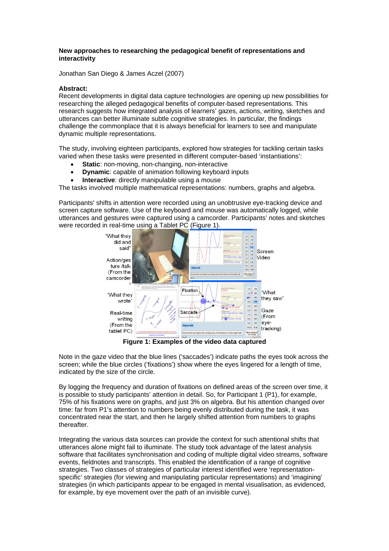#### **New approaches to researching the pedagogical benefit of representations and interactivity**

Jonathan San Diego & James Aczel (2007)

### **Abstract:**

Recent developments in digital data capture technologies are opening up new possibilities for researching the alleged pedagogical benefits of computer-based representations. This research suggests how integrated analysis of learners' gazes, actions, writing, sketches and utterances can better illuminate subtle cognitive strategies. In particular, the findings challenge the commonplace that it is always beneficial for learners to see and manipulate dynamic multiple representations.

The study, involving eighteen participants, explored how strategies for tackling certain tasks varied when these tasks were presented in different computer-based 'instantiations':

- **Static:** non-moving, non-changing, non-interactive
- **Dynamic:** capable of animation following keyboard inputs
- **Interactive**: directly manipulable using a mouse

The tasks involved multiple mathematical representations: numbers, graphs and algebra.

Participants' shifts in attention were recorded using an unobtrusive eye-tracking device and screen capture software. Use of the keyboard and mouse was automatically logged, while utterances and gestures were captured using a camcorder. Participants' notes and sketches were recorded in real-time using a Tablet PC (Figure 1).



**Figure 1: Examples of the video data captured** 

Note in the gaze video that the blue lines ('saccades') indicate paths the eyes took across the screen; while the blue circles ('fixations') show where the eyes lingered for a length of time, indicated by the size of the circle.

By logging the frequency and duration of fixations on defined areas of the screen over time, it is possible to study participants' attention in detail. So, for Participant 1 (P1), for example, 75% of his fixations were on graphs, and just 3% on algebra. But his attention changed over time: far from P1's attention to numbers being evenly distributed during the task, it was concentrated near the start, and then he largely shifted attention from numbers to graphs thereafter.

Integrating the various data sources can provide the context for such attentional shifts that utterances alone might fail to illuminate. The study took advantage of the latest analysis software that facilitates synchronisation and coding of multiple digital video streams, software events, fieldnotes and transcripts. This enabled the identification of a range of cognitive strategies. Two classes of strategies of particular interest identified were 'representationspecific' strategies (for viewing and manipulating particular representations) and 'imagining' strategies (in which participants appear to be engaged in mental visualisation, as evidenced, for example, by eye movement over the path of an invisible curve).